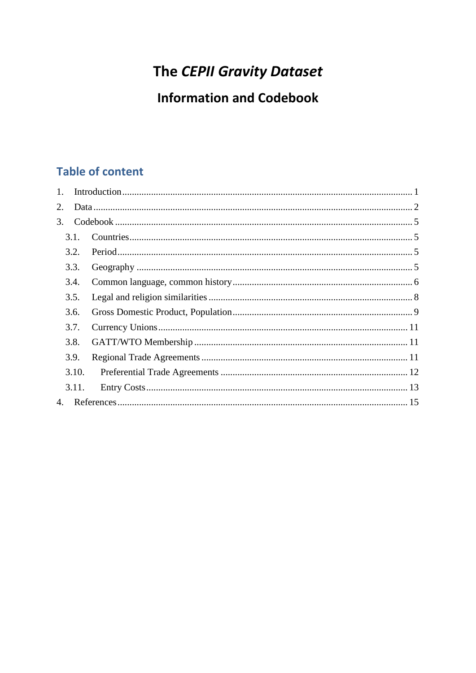# The CEPII Gravity Dataset

# **Information and Codebook**

# **Table of content**

| 1. |       |  |
|----|-------|--|
| 2. |       |  |
| 3. |       |  |
|    | 3.1.  |  |
|    | 3.2.  |  |
|    | 3.3.  |  |
|    | 3.4.  |  |
|    | 3.5.  |  |
|    | 3.6.  |  |
|    | 3.7.  |  |
|    | 3.8.  |  |
|    | 3.9.  |  |
|    | 3.10. |  |
|    | 3.11. |  |
| 4. |       |  |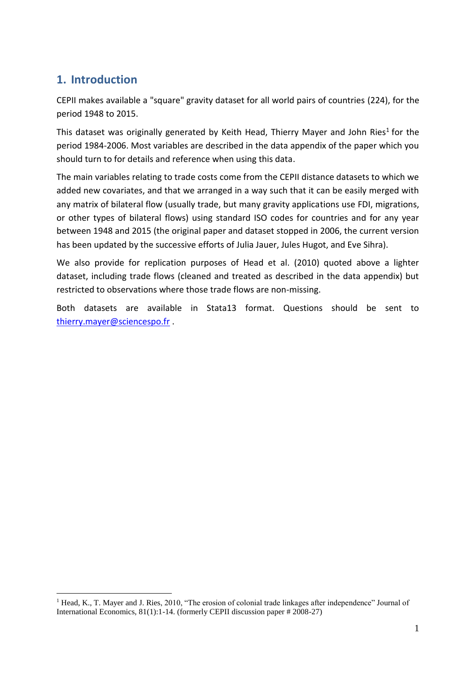# <span id="page-1-0"></span>**1. Introduction**

<u>.</u>

CEPII makes available a "square" gravity dataset for all world pairs of countries (224), for the period 1948 to 2015.

This dataset was originally generated by Keith Head, Thierry Mayer and John Ries<sup>1</sup> for the period 1984-2006. Most variables are described in the data appendix of the paper which you should turn to for details and reference when using this data.

The main variables relating to trade costs come from the CEPII distance datasets to which we added new covariates, and that we arranged in a way such that it can be easily merged with any matrix of bilateral flow (usually trade, but many gravity applications use FDI, migrations, or other types of bilateral flows) using standard ISO codes for countries and for any year between 1948 and 2015 (the original paper and dataset stopped in 2006, the current version has been updated by the successive efforts of Julia Jauer, Jules Hugot, and Eve Sihra).

We also provide for replication purposes of Head et al. (2010) quoted above a lighter dataset, including trade flows (cleaned and treated as described in the data appendix) but restricted to observations where those trade flows are non-missing.

Both datasets are available in Stata13 format. Questions should be sent to [thierry.mayer@sciencespo.fr](mailto:thierry.mayer@sciencespo.fr) .

<sup>&</sup>lt;sup>1</sup> Head, K., T. Mayer and J. Ries, 2010, "The erosion of colonial trade linkages after independence" Journal of International Economics, 81(1):1-14. (formerly CEPII discussion paper # 2008-27)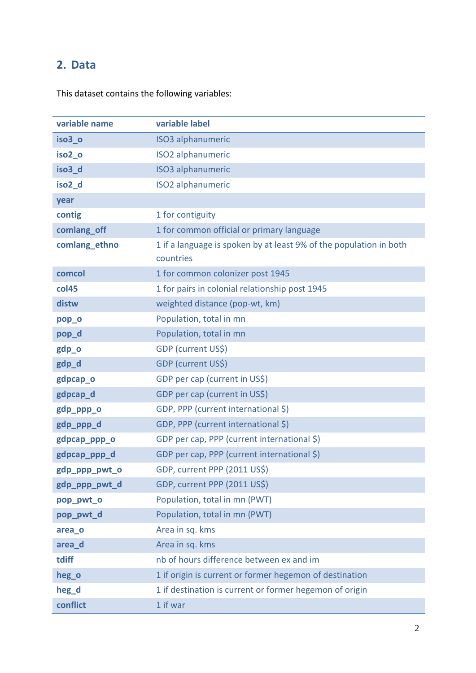# <span id="page-2-0"></span>**2. Data**

This dataset contains the following variables:

| variable name      | variable label                                                                  |
|--------------------|---------------------------------------------------------------------------------|
| iso <sub>3_o</sub> | <b>ISO3</b> alphanumeric                                                        |
| iso <sub>2_o</sub> | <b>ISO2</b> alphanumeric                                                        |
| iso <sub>3_d</sub> | <b>ISO3</b> alphanumeric                                                        |
| iso <sub>2_d</sub> | <b>ISO2</b> alphanumeric                                                        |
| year               |                                                                                 |
| contig             | 1 for contiguity                                                                |
| comlang_off        | 1 for common official or primary language                                       |
| comlang_ethno      | 1 if a language is spoken by at least 9% of the population in both<br>countries |
| comcol             | 1 for common colonizer post 1945                                                |
| col45              | 1 for pairs in colonial relationship post 1945                                  |
| distw              | weighted distance (pop-wt, km)                                                  |
| pop_o              | Population, total in mn                                                         |
| pop_d              | Population, total in mn                                                         |
| gdp_o              | GDP (current US\$)                                                              |
| gdp_d              | GDP (current US\$)                                                              |
| gdpcap_o           | GDP per cap (current in US\$)                                                   |
| gdpcap_d           | GDP per cap (current in US\$)                                                   |
| gdp_ppp_o          | GDP, PPP (current international \$)                                             |
| gdp_ppp_d          | GDP, PPP (current international \$)                                             |
| gdpcap_ppp_o       | GDP per cap, PPP (current international \$)                                     |
| gdpcap_ppp_d       | GDP per cap, PPP (current international \$)                                     |
| gdp_ppp_pwt_o      | GDP, current PPP (2011 US\$)                                                    |
| gdp_ppp_pwt_d      | GDP, current PPP (2011 US\$)                                                    |
| pop_pwt_o          | Population, total in mn (PWT)                                                   |
| pop_pwt_d          | Population, total in mn (PWT)                                                   |
| area_o             | Area in sq. kms                                                                 |
| area d             | Area in sq. kms                                                                 |
| tdiff              | nb of hours difference between ex and im                                        |
| heg_o              | 1 if origin is current or former hegemon of destination                         |
| heg_d              | 1 if destination is current or former hegemon of origin                         |
| conflict           | 1 if war                                                                        |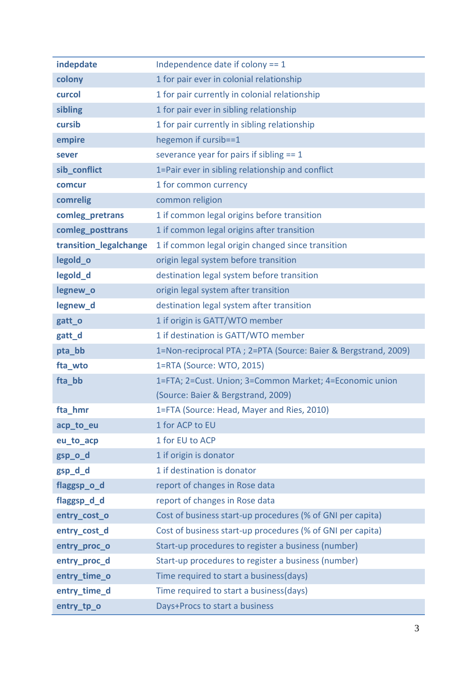| indepdate              | Independence date if colony $== 1$                              |
|------------------------|-----------------------------------------------------------------|
| colony                 | 1 for pair ever in colonial relationship                        |
| curcol                 | 1 for pair currently in colonial relationship                   |
| sibling                | 1 for pair ever in sibling relationship                         |
| cursib                 | 1 for pair currently in sibling relationship                    |
| empire                 | hegemon if cursib==1                                            |
| sever                  | severance year for pairs if sibling $== 1$                      |
| sib_conflict           | 1=Pair ever in sibling relationship and conflict                |
| comcur                 | 1 for common currency                                           |
| comrelig               | common religion                                                 |
| comleg_pretrans        | 1 if common legal origins before transition                     |
| comleg_posttrans       | 1 if common legal origins after transition                      |
| transition_legalchange | 1 if common legal origin changed since transition               |
| legold_o               | origin legal system before transition                           |
| legold_d               | destination legal system before transition                      |
| legnew_o               | origin legal system after transition                            |
| legnew_d               | destination legal system after transition                       |
| gatt_o                 | 1 if origin is GATT/WTO member                                  |
| gatt_d                 | 1 if destination is GATT/WTO member                             |
| pta_bb                 | 1=Non-reciprocal PTA ; 2=PTA (Source: Baier & Bergstrand, 2009) |
| fta_wto                | 1=RTA (Source: WTO, 2015)                                       |
| fta_bb                 | 1=FTA; 2=Cust. Union; 3=Common Market; 4=Economic union         |
|                        | (Source: Baier & Bergstrand, 2009)                              |
| fta hmr                | 1=FTA (Source: Head, Mayer and Ries, 2010)                      |
| acp_to_eu              | 1 for ACP to EU                                                 |
| eu_to_acp              | 1 for EU to ACP                                                 |
| gsp_o_d                | 1 if origin is donator                                          |
| gsp_d_d                | 1 if destination is donator                                     |
| flaggsp_o_d            | report of changes in Rose data                                  |
| flaggsp_d_d            | report of changes in Rose data                                  |
| entry_cost_o           | Cost of business start-up procedures (% of GNI per capita)      |
| entry_cost_d           | Cost of business start-up procedures (% of GNI per capita)      |
| entry_proc_o           | Start-up procedures to register a business (number)             |
| entry_proc_d           | Start-up procedures to register a business (number)             |
| entry_time_o           | Time required to start a business(days)                         |
| entry_time_d           | Time required to start a business (days)                        |
| entry_tp_o             | Days+Procs to start a business                                  |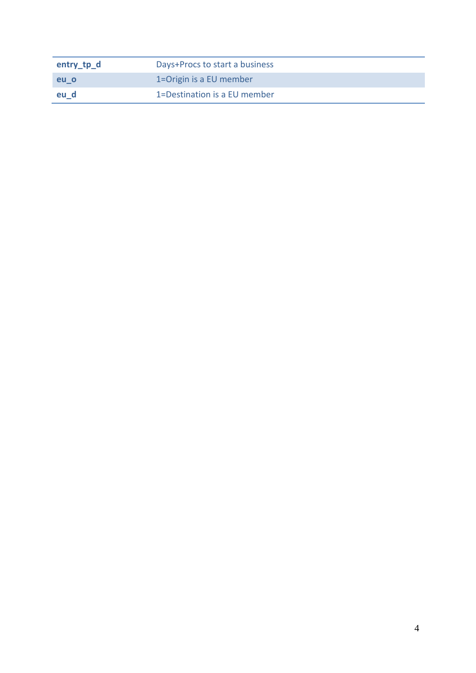| entry_tp_d | Days+Procs to start a business |
|------------|--------------------------------|
| eu_o       | 1=Origin is a EU member        |
| eu_d       | 1=Destination is a EU member   |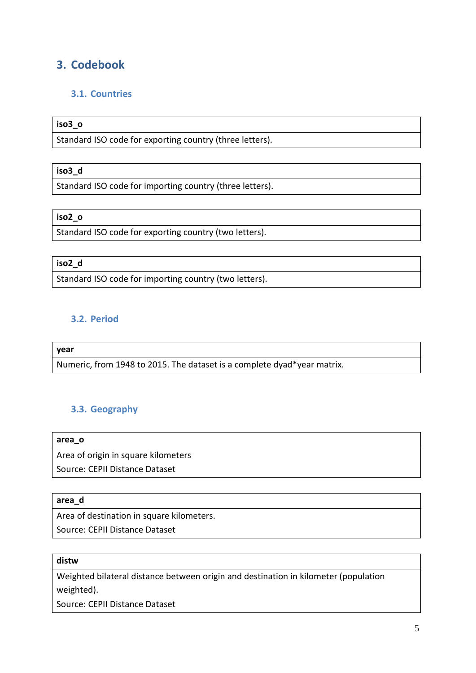# <span id="page-5-0"></span>**3. Codebook**

# <span id="page-5-1"></span>**3.1. Countries**

# **iso3\_o**

Standard ISO code for exporting country (three letters).

#### **iso3\_d**

Standard ISO code for importing country (three letters).

# **iso2\_o**

Standard ISO code for exporting country (two letters).

#### **iso2\_d**

Standard ISO code for importing country (two letters).

# <span id="page-5-2"></span>**3.2. Period**

#### **year**

Numeric, from 1948 to 2015. The dataset is a complete dyad\*year matrix.

# <span id="page-5-3"></span>**3.3. Geography**

**area\_o**

Area of origin in square kilometers

Source: CEPII Distance Dataset

#### **area\_d**

Area of destination in square kilometers.

Source: CEPII Distance Dataset

# **distw**

Weighted bilateral distance between origin and destination in kilometer (population weighted).

Source: CEPII Distance Dataset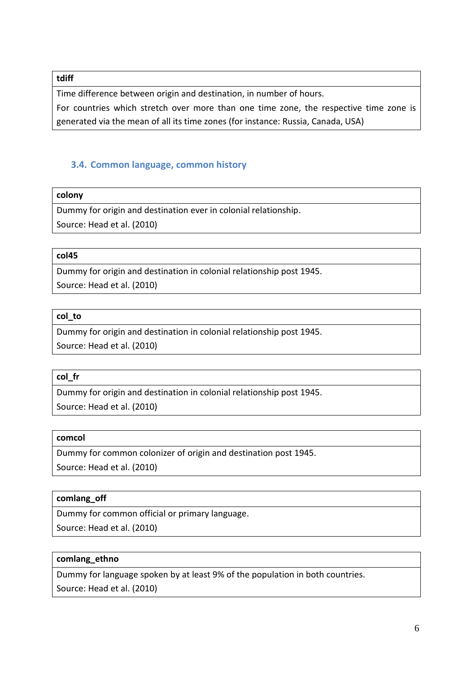#### **tdiff**

Time difference between origin and destination, in number of hours. For countries which stretch over more than one time zone, the respective time zone is generated via the mean of all its time zones (for instance: Russia, Canada, USA)

# <span id="page-6-0"></span>**3.4. Common language, common history**

#### **colony**

Dummy for origin and destination ever in colonial relationship. Source: Head et al. (2010)

#### **col45**

Dummy for origin and destination in colonial relationship post 1945. Source: Head et al. (2010)

#### **col\_to**

Dummy for origin and destination in colonial relationship post 1945. Source: Head et al. (2010)

#### **col\_fr**

Dummy for origin and destination in colonial relationship post 1945. Source: Head et al. (2010)

#### **comcol**

Dummy for common colonizer of origin and destination post 1945.

Source: Head et al. (2010)

# **comlang\_off**

Dummy for common official or primary language.

Source: Head et al. (2010)

#### **comlang\_ethno**

Dummy for language spoken by at least 9% of the population in both countries. Source: Head et al. (2010)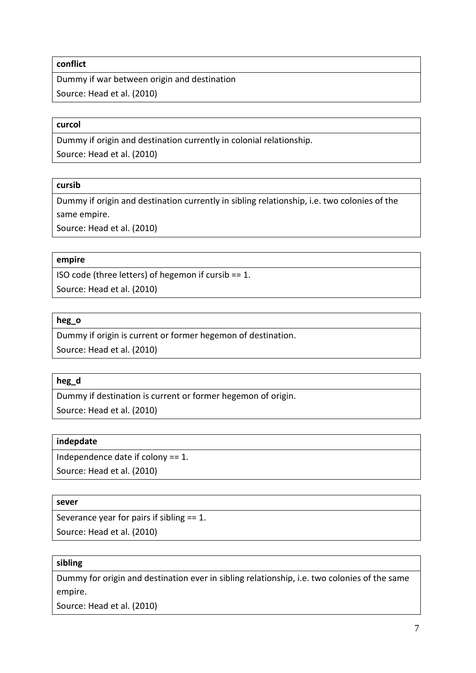#### **conflict**

Dummy if war between origin and destination Source: Head et al. (2010)

#### **curcol**

Dummy if origin and destination currently in colonial relationship.

Source: Head et al. (2010)

#### **cursib**

Dummy if origin and destination currently in sibling relationship, i.e. two colonies of the same empire.

Source: Head et al. (2010)

#### **empire**

ISO code (three letters) of hegemon if cursib == 1.

Source: Head et al. (2010)

#### **heg\_o**

Dummy if origin is current or former hegemon of destination.

Source: Head et al. (2010)

# **heg\_d**

Dummy if destination is current or former hegemon of origin. Source: Head et al. (2010)

# **indepdate**

Independence date if colony == 1.

Source: Head et al. (2010)

#### **sever**

Severance year for pairs if sibling == 1. Source: Head et al. (2010)

#### **sibling**

Dummy for origin and destination ever in sibling relationship, i.e. two colonies of the same empire.

Source: Head et al. (2010)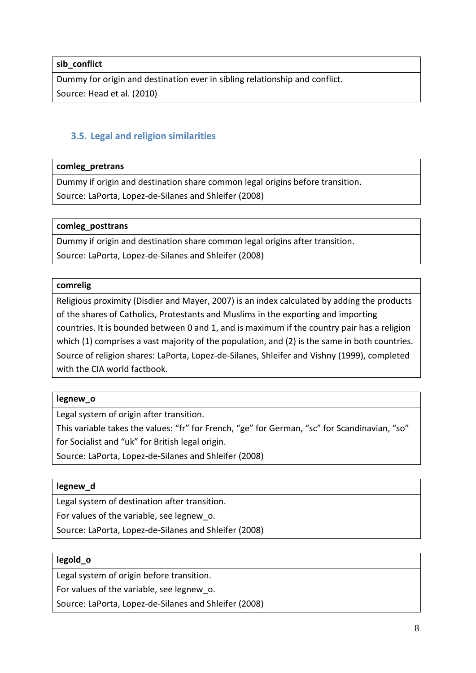#### **sib\_conflict**

Dummy for origin and destination ever in sibling relationship and conflict. Source: Head et al. (2010)

# <span id="page-8-0"></span>**3.5. Legal and religion similarities**

#### **comleg\_pretrans**

Dummy if origin and destination share common legal origins before transition. Source: LaPorta, Lopez-de-Silanes and Shleifer (2008)

#### **comleg\_posttrans**

Dummy if origin and destination share common legal origins after transition. Source: LaPorta, Lopez-de-Silanes and Shleifer (2008)

#### **comrelig**

Religious proximity (Disdier and Mayer, 2007) is an index calculated by adding the products of the shares of Catholics, Protestants and Muslims in the exporting and importing countries. It is bounded between 0 and 1, and is maximum if the country pair has a religion which (1) comprises a vast majority of the population, and (2) is the same in both countries. Source of religion shares: LaPorta, Lopez-de-Silanes, Shleifer and Vishny (1999), completed with the CIA world factbook.

#### **legnew\_o**

Legal system of origin after transition.

This variable takes the values: "fr" for French, "ge" for German, "sc" for Scandinavian, "so" for Socialist and "uk" for British legal origin.

Source: LaPorta, Lopez-de-Silanes and Shleifer (2008)

#### **legnew\_d**

Legal system of destination after transition.

For values of the variable, see legnew\_o.

Source: LaPorta, Lopez-de-Silanes and Shleifer (2008)

#### **legold\_o**

Legal system of origin before transition.

For values of the variable, see legnew\_o.

Source: LaPorta, Lopez-de-Silanes and Shleifer (2008)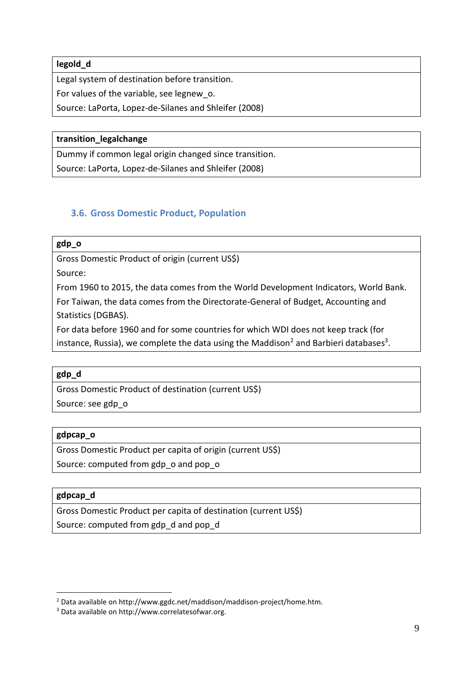**legold\_d**

Legal system of destination before transition.

For values of the variable, see legnew\_o.

Source: LaPorta, Lopez-de-Silanes and Shleifer (2008)

#### **transition\_legalchange**

Dummy if common legal origin changed since transition. Source: LaPorta, Lopez-de-Silanes and Shleifer (2008)

# <span id="page-9-0"></span>**3.6. Gross Domestic Product, Population**

# **gdp\_o**

Gross Domestic Product of origin (current US\$)

Source:

From 1960 to 2015, the data comes from the World Development Indicators, World Bank.

For Taiwan, the data comes from the Directorate-General of Budget, Accounting and Statistics (DGBAS).

For data before 1960 and for some countries for which WDI does not keep track (for instance, Russia), we complete the data using the Maddison<sup>2</sup> and Barbieri databases<sup>3</sup>.

#### **gdp\_d**

Gross Domestic Product of destination (current US\$)

Source: see gdp\_o

#### **gdpcap\_o**

Gross Domestic Product per capita of origin (current US\$)

Source: computed from gdp\_o and pop\_o

# **gdpcap\_d**

1

Gross Domestic Product per capita of destination (current US\$)

Source: computed from gdp\_d and pop\_d

<sup>2</sup> Data available on http://www.ggdc.net/maddison/maddison-project/home.htm.

<sup>3</sup> Data available on http://www.correlatesofwar.org.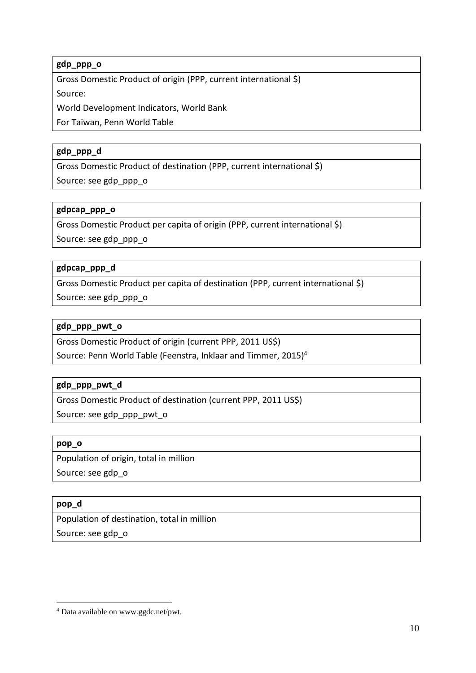# **gdp\_ppp\_o**

Gross Domestic Product of origin (PPP, current international \$) Source:

World Development Indicators, World Bank

For Taiwan, Penn World Table

# **gdp\_ppp\_d**

Gross Domestic Product of destination (PPP, current international \$)

Source: see gdp\_ppp\_o

#### **gdpcap\_ppp\_o**

Gross Domestic Product per capita of origin (PPP, current international \$)

Source: see gdp\_ppp\_o

#### **gdpcap\_ppp\_d**

Gross Domestic Product per capita of destination (PPP, current international \$) Source: see gdp\_ppp\_o

#### **gdp\_ppp\_pwt\_o**

Gross Domestic Product of origin (current PPP, 2011 US\$)

Source: Penn World Table (Feenstra, Inklaar and Timmer, 2015)<sup>4</sup>

# **gdp\_ppp\_pwt\_d**

Gross Domestic Product of destination (current PPP, 2011 US\$)

Source: see gdp\_ppp\_pwt\_o

#### **pop\_o**

Population of origin, total in million

Source: see gdp\_o

# **pop\_d**

1

Population of destination, total in million

Source: see gdp\_o

<sup>4</sup> Data available on www.ggdc.net/pwt.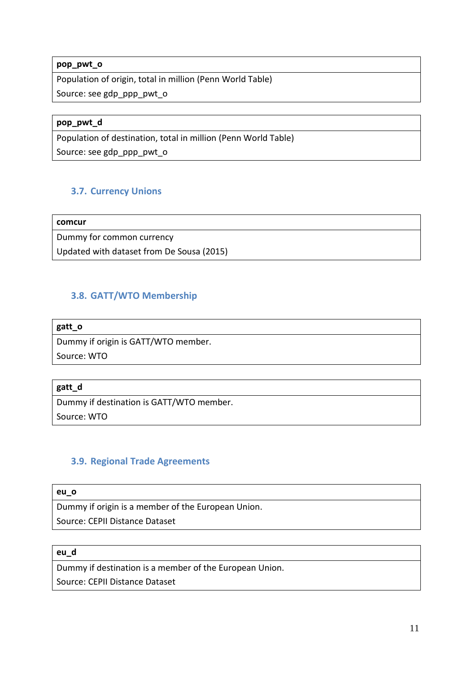#### **pop\_pwt\_o**

Population of origin, total in million (Penn World Table) Source: see gdp\_ppp\_pwt\_o

#### **pop\_pwt\_d**

Population of destination, total in million (Penn World Table)

Source: see gdp\_ppp\_pwt\_o

# <span id="page-11-0"></span>**3.7. Currency Unions**

**comcur**

Dummy for common currency

Updated with dataset from De Sousa (2015)

# <span id="page-11-1"></span>**3.8. GATT/WTO Membership**

#### **gatt\_o**

Dummy if origin is GATT/WTO member.

Source: WTO

#### **gatt\_d**

Dummy if destination is GATT/WTO member.

Source: WTO

# <span id="page-11-2"></span>**3.9. Regional Trade Agreements**

#### **eu\_o**

Dummy if origin is a member of the European Union.

Source: CEPII Distance Dataset

#### **eu\_d**

Dummy if destination is a member of the European Union.

Source: CEPII Distance Dataset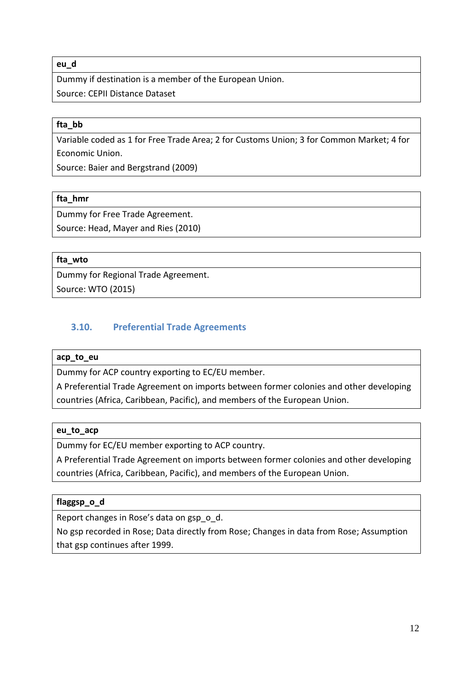#### **eu\_d**

Dummy if destination is a member of the European Union. Source: CEPII Distance Dataset

#### **fta\_bb**

Variable coded as 1 for Free Trade Area; 2 for Customs Union; 3 for Common Market; 4 for Economic Union.

Source: Baier and Bergstrand (2009)

#### **fta\_hmr**

Dummy for Free Trade Agreement.

Source: Head, Mayer and Ries (2010)

# **fta\_wto**

Dummy for Regional Trade Agreement. Source: WTO (2015)

# <span id="page-12-0"></span>**3.10. Preferential Trade Agreements**

#### **acp\_to\_eu**

Dummy for ACP country exporting to EC/EU member.

A Preferential Trade Agreement on imports between former colonies and other developing countries (Africa, Caribbean, Pacific), and members of the European Union.

#### **eu\_to\_acp**

Dummy for EC/EU member exporting to ACP country.

A Preferential Trade Agreement on imports between former colonies and other developing countries (Africa, Caribbean, Pacific), and members of the European Union.

# **flaggsp\_o\_d**

Report changes in Rose's data on gsp\_o\_d.

No gsp recorded in Rose; Data directly from Rose; Changes in data from Rose; Assumption that gsp continues after 1999.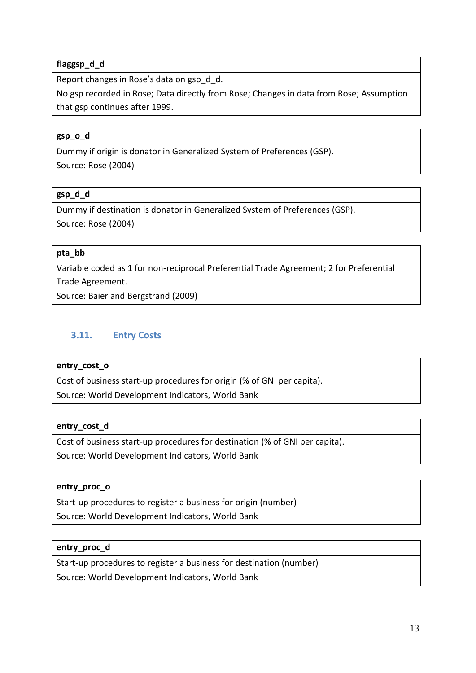# **flaggsp\_d\_d**

Report changes in Rose's data on gsp\_d\_d.

No gsp recorded in Rose; Data directly from Rose; Changes in data from Rose; Assumption that gsp continues after 1999.

### **gsp\_o\_d**

Dummy if origin is donator in Generalized System of Preferences (GSP). Source: Rose (2004)

#### **gsp\_d\_d**

Dummy if destination is donator in Generalized System of Preferences (GSP). Source: Rose (2004)

#### **pta\_bb**

Variable coded as 1 for non-reciprocal Preferential Trade Agreement; 2 for Preferential Trade Agreement.

Source: Baier and Bergstrand (2009)

# <span id="page-13-0"></span>**3.11. Entry Costs**

#### **entry\_cost\_o**

Cost of business start-up procedures for origin (% of GNI per capita).

Source: World Development Indicators, World Bank

#### **entry\_cost\_d**

Cost of business start-up procedures for destination (% of GNI per capita). Source: World Development Indicators, World Bank

#### **entry\_proc\_o**

Start-up procedures to register a business for origin (number)

Source: World Development Indicators, World Bank

#### **entry\_proc\_d**

Start-up procedures to register a business for destination (number)

Source: World Development Indicators, World Bank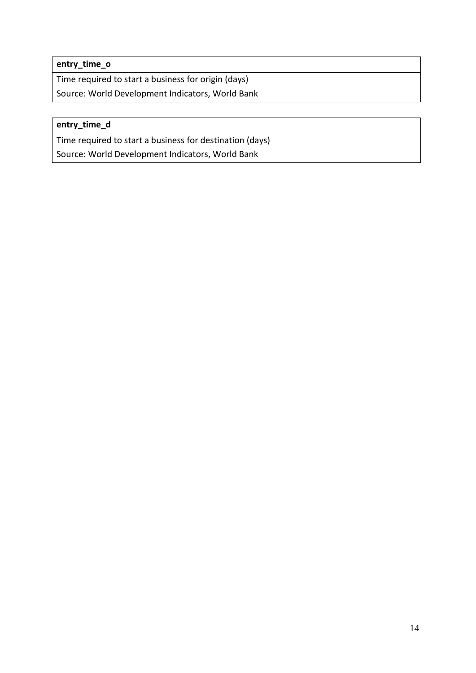**entry\_time\_o**

Time required to start a business for origin (days) Source: World Development Indicators, World Bank

# **entry\_time\_d**

Time required to start a business for destination (days)

Source: World Development Indicators, World Bank